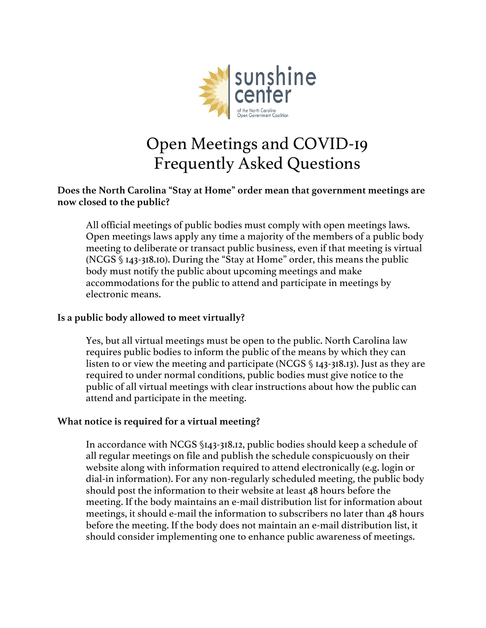

## Open Meetings and COVID-19 Frequently Asked Questions

### **Does the North Carolina "Stay at Home" order mean that government meetings are now closed to the public?**

All official meetings of public bodies must comply with open meetings laws. Open meetings laws apply any time a majority of the members of a public body meeting to deliberate or transact public business, even if that meeting is virtual (NCGS § 143-318.10). During the "Stay at Home" order, this means the public body must notify the public about upcoming meetings and make accommodations for the public to attend and participate in meetings by electronic means.

## **Is a public body allowed to meet virtually?**

Yes, but all virtual meetings must be open to the public. North Carolina law requires public bodies to inform the public of the means by which they can listen to or view the meeting and participate (NCGS § 143-318.13). Just as they are required to under normal conditions, public bodies must give notice to the public of all virtual meetings with clear instructions about how the public can attend and participate in the meeting.

#### **What notice is required for a virtual meeting?**

In accordance with NCGS §143-318.12, public bodies should keep a schedule of all regular meetings on file and publish the schedule conspicuously on their website along with information required to attend electronically (e.g. login or dial-in information). For any non-regularly scheduled meeting, the public body should post the information to their website at least 48 hours before the meeting. If the body maintains an e-mail distribution list for information about meetings, it should e-mail the information to subscribers no later than 48 hours before the meeting. If the body does not maintain an e-mail distribution list, it should consider implementing one to enhance public awareness of meetings.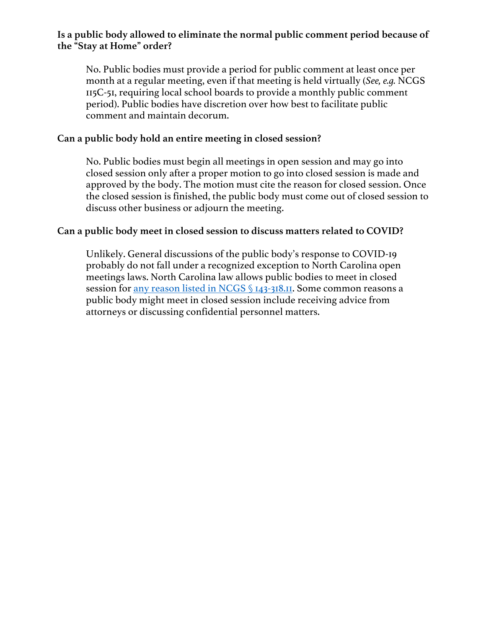## **Is a public body allowed to eliminate the normal public comment period because of the "Stay at Home" order?**

No. Public bodies must provide a period for public comment at least once per month at a regular meeting, even if that meeting is held virtually (*See, e.g.* NCGS 115C-51, requiring local school boards to provide a monthly public comment period). Public bodies have discretion over how best to facilitate public comment and maintain decorum.

#### **Can a public body hold an entire meeting in closed session?**

No. Public bodies must begin all meetings in open session and may go into closed session only after a proper motion to go into closed session is made and approved by the body. The motion must cite the reason for closed session. Once the closed session is finished, the public body must come out of closed session to discuss other business or adjourn the meeting.

#### **Can a public body meet in closed session to discuss matters related to COVID?**

Unlikely. General discussions of the public body's response to COVID-19 probably do not fall under a recognized exception to North Carolina open meetings laws. North Carolina law allows public bodies to meet in closed session for any reason listed in NCGS § 143-318.II. Some common reasons a public body might meet in closed session include receiving advice from attorneys or discussing confidential personnel matters.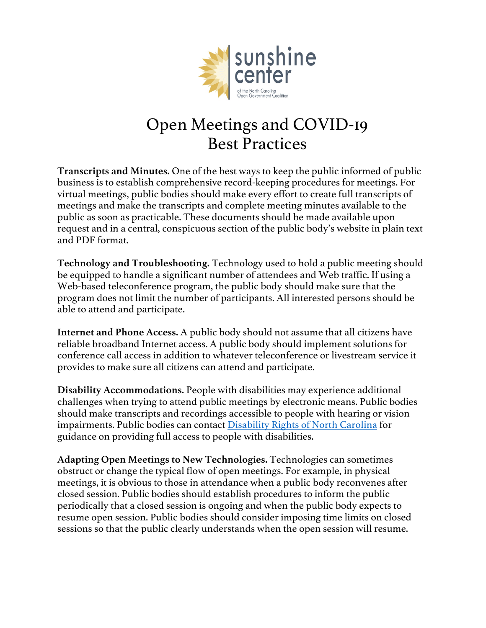

# Open Meetings and COVID-19 Best Practices

**Transcripts and Minutes.** One of the best ways to keep the public informed of public business is to establish comprehensive record-keeping procedures for meetings. For virtual meetings, public bodies should make every effort to create full transcripts of meetings and make the transcripts and complete meeting minutes available to the public as soon as practicable. These documents should be made available upon request and in a central, conspicuous section of the public body's website in plain text and PDF format.

**Technology and Troubleshooting.** Technology used to hold a public meeting should be equipped to handle a significant number of attendees and Web traffic. If using a Web-based teleconference program, the public body should make sure that the program does not limit the number of participants. All interested persons should be able to attend and participate.

**Internet and Phone Access.** A public body should not assume that all citizens have reliable broadband Internet access. A public body should implement solutions for conference call access in addition to whatever teleconference or livestream service it provides to make sure all citizens can attend and participate.

**Disability Accommodations.** People with disabilities may experience additional challenges when trying to attend public meetings by electronic means. Public bodies should make transcripts and recordings accessible to people with hearing or vision impairments. Public bodies can contact Disability Rights of North Carolina for guidance on providing full access to people with disabilities.

**Adapting Open Meetings to New Technologies.** Technologies can sometimes obstruct or change the typical flow of open meetings. For example, in physical meetings, it is obvious to those in attendance when a public body reconvenes after closed session. Public bodies should establish procedures to inform the public periodically that a closed session is ongoing and when the public body expects to resume open session. Public bodies should consider imposing time limits on closed sessions so that the public clearly understands when the open session will resume.